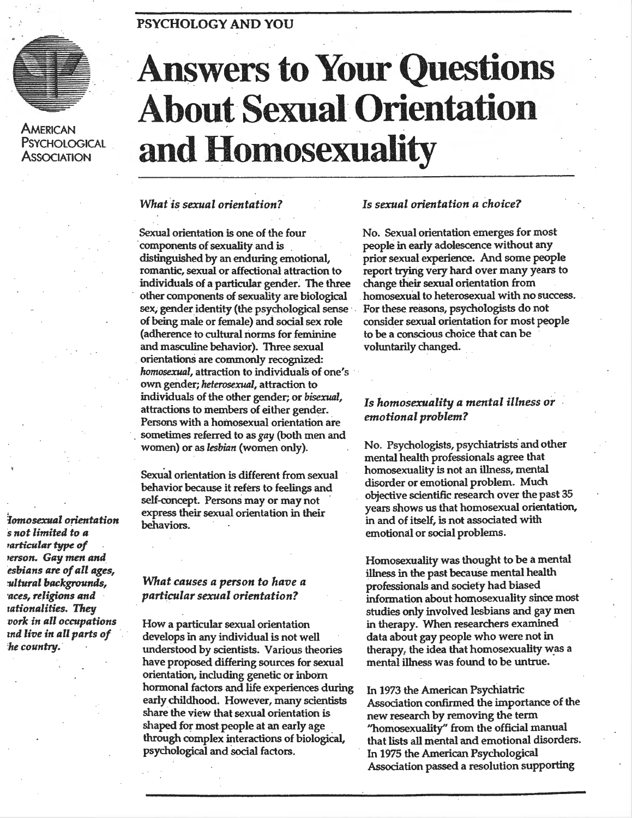# PSYCHOLOGY AND YOU



AMERICAN **PSYCHOLOGICAL ASSOCIATION** 

# Answers **to Your Questions About Sexual Orientation**  and Homosexuality

### *What is sexual orientation?*

Sexual orientation is one of the four ·components of sexuality and is distinguished by an enduring emotional, romantic, sexual or affectional attraction to individuals of a particular gender. The three other components of sexuality are biological sex; gender identity (the psychological sense of being male or female) and social sex role (adherence to cultural norms for feminine and masculine behavior). Three sexual orientations are commonly recognized: *homosexual, attraction to individuals of one's* own gender; *heterosexual,* attraction to individuals of the other gender; or *bisexual*, attractions to members of either gender. Persons with a homosexual orientation are . sometimes referred to as *gay* (both men and women) or as *lesbian* (women only).

Sexuat orientation is different from sexual behavior because it refers to feelings and self-concept. Persons may or may not express their sexual orientation in their behaviors.

*What causes a person to have <sup>a</sup> particular sexual orientation?* 

How a particular sexual orientation develops in any individual is not well understood by scientists. Various theories have proposed differing sources for sexual orientation, including genetic or inborn hormonal factors and life experiences during early childhood. However, many scientists share the view that sexual orientation is shaped for most people at an early age through complex interactions of biological, psychological and social factors.

#### *Is sexual orientation a choice?*

No. Sexual orientation emerges for most people in early adolescence without any prior sexual experience. And some people report trying very hard over many years to change their sexual orientation from homosexual to heterosexual with no success. For these reasons, psychologists do not consider sexual orientation for most people to be a conscious choice that can be voluntarily changed.

# *Is homosexuality a mental illness or emotional problem?*

No. Psychologists, psychiatrists and other mental health professionals agree that homosexuality is not an illness, mental disorder or emotional problem. Much objective scientific research over the past 35 years shows us that homosexual orientation, in and of itself, is not associated with emotional or social problems.

Homosexuality was thought to be a mental illness in the past because mental health professionals and society had biased information about homosexuality since most studies only involved lesbians and gay men in therapy. When researchers examined data about gay people who were not in therapy, the idea that homosexuality was a mental illness was found to be untrue.

In 1973 the American Psychiatric Association confirmed the importance of the new research by removing the term "homosexuality'' from the official manual that lists all mental and emotional disorders. In 1975 the American Psychological Association passed a resolution supporting

*Iomosexual orientation <sup>s</sup>not limited to a rarticular type of •erson. Gay men and esbians are of all ages,*  ~ltural *backgrounds, ·aces, religions and rationalities. They oork in all occupations rnd live in all parts of 'he country.*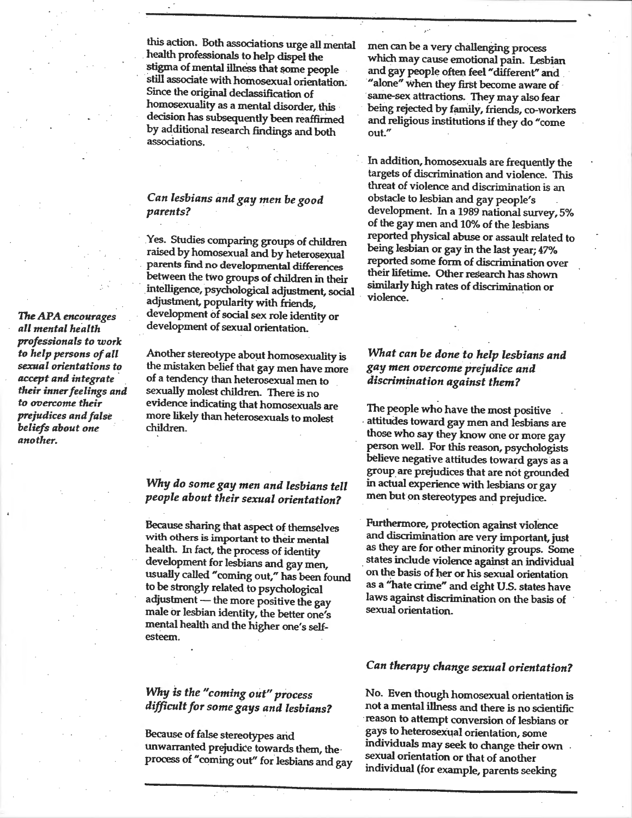this action. Both associations urge all mental health professionals to help dispel the stigma of mental illness that some people still associate with homosexual orientation. Since the original declassification of homosexuality as a mental disorder, this decision has subsequently been reaffirmed by additional research findings and both associations.

## *Can lesbians and gay men be good parents?*

Yes. Studies comparing groups of children raised by homosexual and by heterosexual . parents find no developmental differences between the two groups of children in their . intelligence, psychologicai adjustment, social adjustment, popularity with friends, development of social sex role identity or development of sexual orientation.

Another stereotype about homosexuality is the mistaken belief that gay men have more of a tendency than heterosexual men to sexually molest children. There is no evidence indicating that homosexuals are more likely than heterosexuals to molest children.

# *Why do some gay men and lesbians tell people about their sexual orientation?*

Because sharing that aspect of themselves with others is important to their mental health. In fact, the process of identity development for lesbians and gay men, usually called "coming out," has been found to be strongly related to psychological adjustment - the more positive the gay male or lesbian identity, the better one's mental health and the higher one's selfesteem.

# *Why is the "coming out" process difficult for some gays and lesbians?*

Because of false stereotypes arid unwarranted prejudice towards them, theprocess of "coming-out" for lesbians and gay men can be a very challenging process which may cause emotional pain. Lesbian and gay people often feel "different" and ·"alone" when they first become aware of same-sex attractions. They may also fear being rejected by family, friends, co-workers and religious institutions if they do "come out."

In addition, homosexuals are frequently the targets of discrimination and violence. This threat of violence and discrimination is an obstacle to lesbian and gay people's development. In a 1989 national survey, 5% of the gay men and 10% of the lesbians reported physical abuse or assault related to being lesbian or gay in the last year; 47% reported some form of discrimination over their lifetime. Other research has shown similarly high rates of discrimination or violence.

## *What can be done to help lesbians and gay men overcome prejudice and discrimination against them?*

The people who have the most positive -attitudes toward gay men and lesbians are those who say they know one or more gay person well. For this reason, psychologists believe negative attitudes toward gays as <sup>a</sup> group are prejudices that are not grounded in actual experience with lesbians or gay men but on stereotypes and prejudice.

Furthermore, protection against violence and discrimination are very important, just as they are for other minority groups. Some states include violence against an individual on the basis of her or his sexual orientation as a "hate crime" and eight U.S. states have laws against discrimination on the basis of sexual orientation.

# *Can therapy change sexual orientation?*

No. Even though homosexual orientation is not a mental illness and there is no scientific ·reason to attempt conversion of lesbians or gays to heterosexual orientation, some individuals may seek to change their own sexual orientation or that of another individual (for example, parents seeking

*TheAPA encourages all mental health professionals to work to help persons of all sexual orientations to accept and integrate their inner feelings and to overcome their prejudices and false beliefs about one another.*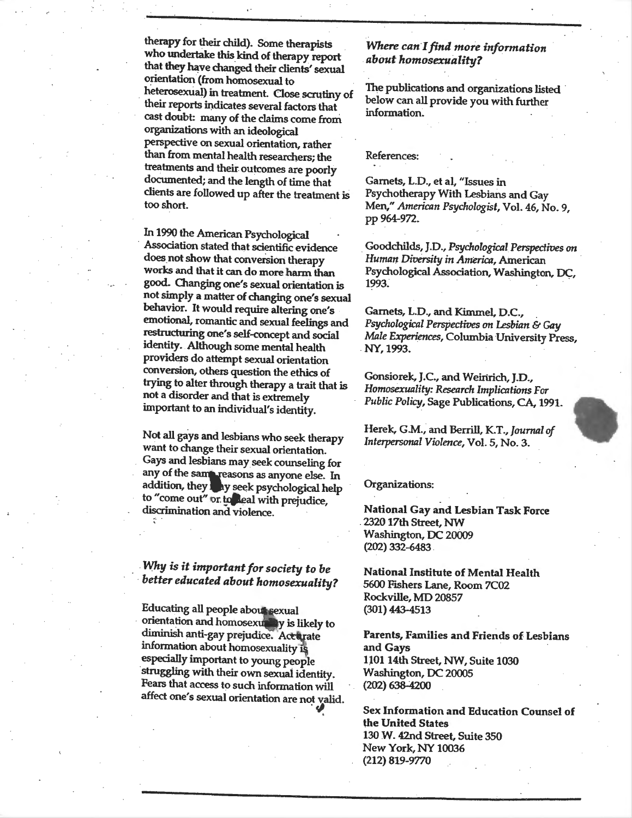therapy for their child). Some therapists who undertake this kind of therapy report that they have changed their clients' sexual orientation (from homosexual to heterosexual) in treatment. Close scrutiny of their reports indicates several factors that cast doubt: many of the claims come from organizations with an ideological perspective on sexual orientation, rather than from mental health researchers; the treatments and their outcomes are poorly documented; and the length of time that clients are followed up after the treatment is too short.

In 1990 the American Psychological · Association stated that scientific evidence does not show that conversion therapy works and that it can do more harm than good. Otanging one's sexual orientation is not simply a matter of changing one's sexual behavior. It would require altering one's emotional, romantic and sexual feelings and restructuring one's self-concept and social identity. Although some mental health providers do attempt sexual orientation conversion, others question the ethics of trying to alter through therapy a trait that is not a disorder and that is extremely important to an individual's identity.

Not all gays and lesbians who seek therapy want to change their sexual orientation. Gays and lesbians may seek counseling for any of the same reasons as anyone else. In addition, they a seek psychological help to "come out" or to deal with prejudice, discrimination and violence.

*Why* is *it important for society to be*  · *better educated about homosexuality?* 

Educating all people abo orientation and homosexually is likely to diminish anti-gay prejudice. Accurate information about homosexuality is especially important to young people struggling with their own sexuai identity. Fears that access to such information will affect one's sexual orientation are not valid. *tJ* 

# *Where can·Ifind more information about homosexuality?*

The publications and organizations listed · below can all provide you with further information.

#### References:

Garnets, L.D., et al, "Issues in Psychotherapy With Lesbians and Gay Men," *American Psychologist,* Vol. 46, No.9, pp 964-972.

. Goodchilds, J.D., *Psychological Perspectives on Human Diversity* in *America,* American Psychological Association, Washington, DC, 1993~

Garnets, L.D., and Kimmel, D.C., *Psychological Perspectives* on *Lesbian* & Gay *Male Experiences,* Columbia University Press, . NY, 1993.

Gonsiorek, J.C., and Weinrich, J.D., *Homosexuality: Research Implications For Public Policy,* Sage Publications, CA, 1991.

Herek, G.M., and Berrill, K.T., *Journal of Interpersonal Violence,* Vol. 5, No.3.

#### Organizations:

National Gay and Lesbian Task Force . 2320 17th Street, NW Washington, DC 20009 (202) 332-6483

National Institute of Mental Health 5600 Fishers Lane, Room 7C02 Rockville, MD 20857 (301) 443-4513

Parents, Families and Friends of Lesbians and Gays U0114th Street, NW, Suite 1030 Washington, DC 20005 (202) 638-4200

Sex Information and Education Counsel of the United States 130 W. 42nd Street, Suite 350 New York, NY 10036 (212) 819-9770